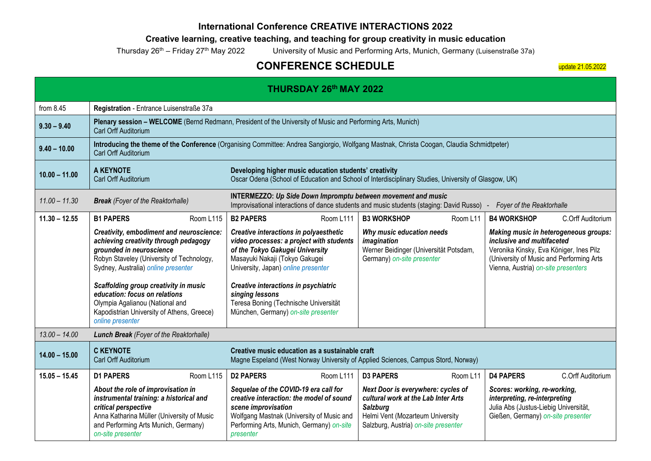## **International Conference CREATIVE INTERACTIONS 2022**

## **Creative learning, creative teaching, and teaching for group creativity in music education**

Thursday 26<sup>th</sup> – Friday 27<sup>th</sup> May 2022 University of Music and Performing Arts, Munich, Germany (Luisenstraße 37a)

## **CONFERENCE SCHEDULE**

update 21.05.2022

| <b>THURSDAY 26th MAY 2022</b> |                                                                                                                                                                                                                                                                                                                                                                                  |                                                                                                                                                                                                                                                                                               |                                                                                                                                    |                                                                                                                                                                          |          |                                                                                                                                              |                                                                                                                              |
|-------------------------------|----------------------------------------------------------------------------------------------------------------------------------------------------------------------------------------------------------------------------------------------------------------------------------------------------------------------------------------------------------------------------------|-----------------------------------------------------------------------------------------------------------------------------------------------------------------------------------------------------------------------------------------------------------------------------------------------|------------------------------------------------------------------------------------------------------------------------------------|--------------------------------------------------------------------------------------------------------------------------------------------------------------------------|----------|----------------------------------------------------------------------------------------------------------------------------------------------|------------------------------------------------------------------------------------------------------------------------------|
| from $8.45$                   | Registration - Entrance Luisenstraße 37a                                                                                                                                                                                                                                                                                                                                         |                                                                                                                                                                                                                                                                                               |                                                                                                                                    |                                                                                                                                                                          |          |                                                                                                                                              |                                                                                                                              |
| $9.30 - 9.40$                 | Plenary session - WELCOME (Bernd Redmann, President of the University of Music and Performing Arts, Munich)<br>Carl Orff Auditorium                                                                                                                                                                                                                                              |                                                                                                                                                                                                                                                                                               |                                                                                                                                    |                                                                                                                                                                          |          |                                                                                                                                              |                                                                                                                              |
| $9.40 - 10.00$                | Introducing the theme of the Conference (Organising Committee: Andrea Sangiorgio, Wolfgang Mastnak, Christa Coogan, Claudia Schmidtpeter)<br>Carl Orff Auditorium                                                                                                                                                                                                                |                                                                                                                                                                                                                                                                                               |                                                                                                                                    |                                                                                                                                                                          |          |                                                                                                                                              |                                                                                                                              |
| $10.00 - 11.00$               | A KEYNOTE<br>Developing higher music education students' creativity<br>Carl Orff Auditorium<br>Oscar Odena (School of Education and School of Interdisciplinary Studies, University of Glasgow, UK)                                                                                                                                                                              |                                                                                                                                                                                                                                                                                               |                                                                                                                                    |                                                                                                                                                                          |          |                                                                                                                                              |                                                                                                                              |
| $11.00 - 11.30$               | <b>INTERMEZZO: Up Side Down Impromptu between movement and music</b><br><b>Break</b> (Foyer of the Reaktorhalle)<br>Improvisational interactions of dance students and music students (staging: David Russo)<br>Foyer of the Reaktorhalle                                                                                                                                        |                                                                                                                                                                                                                                                                                               |                                                                                                                                    |                                                                                                                                                                          |          |                                                                                                                                              |                                                                                                                              |
| $11.30 - 12.55$               | <b>B1 PAPERS</b><br>Room L115                                                                                                                                                                                                                                                                                                                                                    | <b>B2 PAPERS</b>                                                                                                                                                                                                                                                                              | Room L111                                                                                                                          | <b>B3 WORKSHOP</b>                                                                                                                                                       | Room L11 | <b>B4 WORKSHOP</b>                                                                                                                           | C.Orff Auditorium                                                                                                            |
|                               | Creativity, embodiment and neuroscience:<br>achieving creativity through pedagogy<br>grounded in neuroscience<br>Robyn Staveley (University of Technology,<br>Sydney, Australia) online presenter<br>Scaffolding group creativity in music<br>education: focus on relations<br>Olympia Agalianou (National and<br>Kapodistrian University of Athens, Greece)<br>online presenter | Creative interactions in polyaesthetic<br>of the Tokyo Gakugei University<br>Masayuki Nakaji (Tokyo Gakugei<br>University, Japan) online presenter<br>Creative interactions in psychiatric<br>singing lessons<br>Teresa Boning (Technische Universität<br>München, Germany) on-site presenter | video processes: a project with students                                                                                           | Why music education needs<br>imagination<br>Werner Beidinger (Universität Potsdam,<br>Germany) on-site presenter                                                         |          | inclusive and multifaceted<br>Vienna, Austria) on-site presenters                                                                            | Making music in heterogeneous groups:<br>Veronika Kinsky, Eva Königer, Ines Pilz<br>(University of Music and Performing Arts |
| $13.00 - 14.00$               | Lunch Break (Foyer of the Reaktorhalle)                                                                                                                                                                                                                                                                                                                                          |                                                                                                                                                                                                                                                                                               |                                                                                                                                    |                                                                                                                                                                          |          |                                                                                                                                              |                                                                                                                              |
| $14.00 - 15.00$               | <b>C KEYNOTE</b><br>Creative music education as a sustainable craft<br>Carl Orff Auditorium<br>Magne Espeland (West Norway University of Applied Sciences, Campus Stord, Norway)                                                                                                                                                                                                 |                                                                                                                                                                                                                                                                                               |                                                                                                                                    |                                                                                                                                                                          |          |                                                                                                                                              |                                                                                                                              |
| $15.05 - 15.45$               | <b>D1 PAPERS</b><br>Room L115                                                                                                                                                                                                                                                                                                                                                    | <b>D2 PAPERS</b>                                                                                                                                                                                                                                                                              | Room L111                                                                                                                          | <b>D3 PAPERS</b>                                                                                                                                                         | Room L11 | <b>D4 PAPERS</b>                                                                                                                             | C.Orff Auditorium                                                                                                            |
|                               | About the role of improvisation in<br>instrumental training: a historical and<br>critical perspective<br>Anna Katharina Müller (University of Music<br>and Performing Arts Munich, Germany)<br>on-site presenter                                                                                                                                                                 | Sequelae of the COVID-19 era call for<br>scene improvisation<br>presenter                                                                                                                                                                                                                     | creative interaction: the model of sound<br>Wolfgang Mastnak (University of Music and<br>Performing Arts, Munich, Germany) on-site | Next Door is everywhere: cycles of<br>cultural work at the Lab Inter Arts<br><b>Salzburg</b><br>Helmi Vent (Mozarteum University<br>Salzburg, Austria) on-site presenter |          | Scores: working, re-working,<br>interpreting, re-interpreting<br>Julia Abs (Justus-Liebig Universität,<br>Gießen, Germany) on-site presenter |                                                                                                                              |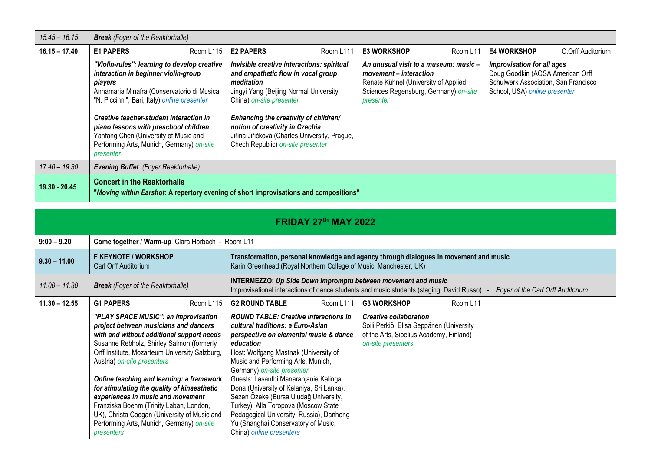| $15.45 - 16.15$ | <b>Break</b> (Foyer of the Reaktorhalle)                                                                                                                                                                                                                                                                                                                                             |           |                                                                                                                                                                                                                                                                                                                                         |           |                                                                                                                                                               |          |                                                                                                                                         |                   |
|-----------------|--------------------------------------------------------------------------------------------------------------------------------------------------------------------------------------------------------------------------------------------------------------------------------------------------------------------------------------------------------------------------------------|-----------|-----------------------------------------------------------------------------------------------------------------------------------------------------------------------------------------------------------------------------------------------------------------------------------------------------------------------------------------|-----------|---------------------------------------------------------------------------------------------------------------------------------------------------------------|----------|-----------------------------------------------------------------------------------------------------------------------------------------|-------------------|
| $16.15 - 17.40$ | <b>E1 PAPERS</b>                                                                                                                                                                                                                                                                                                                                                                     | Room L115 | <b>E2 PAPERS</b>                                                                                                                                                                                                                                                                                                                        | Room L111 | <b>E3 WORKSHOP</b>                                                                                                                                            | Room L11 | <b>E4 WORKSHOP</b>                                                                                                                      | C.Orff Auditorium |
|                 | "Violin-rules": learning to develop creative<br>interaction in beginner violin-group<br>players<br>Annamaria Minafra (Conservatorio di Musica<br>"N. Piccinni", Bari, Italy) online presenter<br>Creative teacher-student interaction in<br>piano lessons with preschool children<br>Yanfang Chen (University of Music and<br>Performing Arts, Munich, Germany) on-site<br>presenter |           | Invisible creative interactions: spiritual<br>and empathetic flow in vocal group<br>meditation<br>Jingyi Yang (Beijing Normal University,<br>China) on-site presenter<br>Enhancing the creativity of children/<br>notion of creativity in Czechia<br>Jiřina Jiřičková (Charles University, Prague,<br>Chech Republic) on-site presenter |           | An unusual visit to a museum: music -<br>movement - interaction<br>Renate Kühnel (University of Applied<br>Sciences Regensburg, Germany) on-site<br>presenter |          | Improvisation for all ages<br>Doug Goodkin (AOSA American Orff<br>Schulwerk Association, San Francisco<br>School, USA) online presenter |                   |
| $17.40 - 19.30$ | <b>Evening Buffet</b> (Foyer Reaktorhalle)                                                                                                                                                                                                                                                                                                                                           |           |                                                                                                                                                                                                                                                                                                                                         |           |                                                                                                                                                               |          |                                                                                                                                         |                   |
| $19.30 - 20.45$ | <b>Concert in the Reaktorhalle</b><br>"Moving within Earshot: A repertory evening of short improvisations and compositions"                                                                                                                                                                                                                                                          |           |                                                                                                                                                                                                                                                                                                                                         |           |                                                                                                                                                               |          |                                                                                                                                         |                   |

| <b>FRIDAY 27th MAY 2022</b> |                                                                                                                                                                                                                                                                                                                                                                                                                                                                                                                                                 |                                                                                                                                                                                                                                                                                                                                                                                                                                                                                                                                             |                                                                                                                                            |  |  |  |  |
|-----------------------------|-------------------------------------------------------------------------------------------------------------------------------------------------------------------------------------------------------------------------------------------------------------------------------------------------------------------------------------------------------------------------------------------------------------------------------------------------------------------------------------------------------------------------------------------------|---------------------------------------------------------------------------------------------------------------------------------------------------------------------------------------------------------------------------------------------------------------------------------------------------------------------------------------------------------------------------------------------------------------------------------------------------------------------------------------------------------------------------------------------|--------------------------------------------------------------------------------------------------------------------------------------------|--|--|--|--|
| $9:00 - 9.20$               | Come together / Warm-up Clara Horbach - Room L11                                                                                                                                                                                                                                                                                                                                                                                                                                                                                                |                                                                                                                                                                                                                                                                                                                                                                                                                                                                                                                                             |                                                                                                                                            |  |  |  |  |
| $9.30 - 11.00$              | <b>F KEYNOTE / WORKSHOP</b><br>Carl Orff Auditorium                                                                                                                                                                                                                                                                                                                                                                                                                                                                                             | Transformation, personal knowledge and agency through dialogues in movement and music<br>Karin Greenhead (Royal Northern College of Music, Manchester, UK)                                                                                                                                                                                                                                                                                                                                                                                  |                                                                                                                                            |  |  |  |  |
| $11.00 - 11.30$             | <b>Break</b> (Foyer of the Reaktorhalle)                                                                                                                                                                                                                                                                                                                                                                                                                                                                                                        | <b>INTERMEZZO: Up Side Down Impromptu between movement and music</b><br>Improvisational interactions of dance students and music students (staging: David Russo) -<br>Foyer of the Carl Orff Auditorium                                                                                                                                                                                                                                                                                                                                     |                                                                                                                                            |  |  |  |  |
| $11.30 - 12.55$             | <b>G1 PAPERS</b><br>Room L115                                                                                                                                                                                                                                                                                                                                                                                                                                                                                                                   | <b>G2 ROUND TABLE</b><br>Room L111                                                                                                                                                                                                                                                                                                                                                                                                                                                                                                          | <b>G3 WORKSHOP</b><br>Room L11                                                                                                             |  |  |  |  |
|                             | "PLAY SPACE MUSIC": an improvisation<br>project between musicians and dancers<br>with and without additional support needs<br>Susanne Rebholz, Shirley Salmon (formerly<br>Orff Institute, Mozarteum University Salzburg,<br>Austria) on-site presenters<br>Online teaching and learning: a framework<br>for stimulating the quality of kinaesthetic<br>experiences in music and movement<br>Franziska Boehm (Trinity Laban, London,<br>UK), Christa Coogan (University of Music and<br>Performing Arts, Munich, Germany) on-site<br>presenters | <b>ROUND TABLE: Creative interactions in</b><br>cultural traditions: a Euro-Asian<br>perspective on elemental music & dance<br>education<br>Host: Wolfgang Mastnak (University of<br>Music and Performing Arts, Munich,<br>Germany) on-site presenter<br>Guests: Lasanthi Manaranjanie Kalinga<br>Dona (University of Kelaniya, Sri Lanka),<br>Sezen Özeke (Bursa Uludağ University,<br>Turkey), Alla Toropova (Moscow State<br>Pedagogical University, Russia), Danhong<br>Yu (Shanghai Conservatory of Music,<br>China) online presenters | <b>Creative collaboration</b><br>Soili Perkiö, Elisa Seppänen (University<br>of the Arts, Sibelius Academy, Finland)<br>on-site presenters |  |  |  |  |